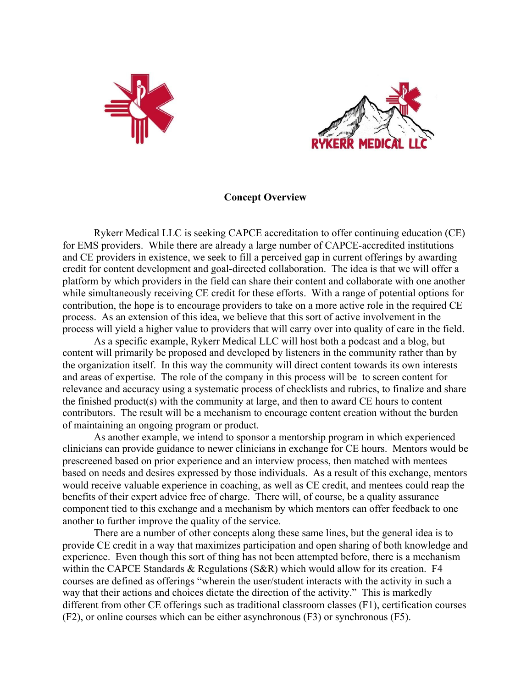



## **Concept Overview**

Rykerr Medical LLC is seeking CAPCE accreditation to offer continuing education (CE) for EMS providers. While there are already a large number of CAPCE-accredited institutions and CE providers in existence, we seek to fill a perceived gap in current offerings by awarding credit for content development and goal-directed collaboration. The idea is that we will offer a platform by which providers in the field can share their content and collaborate with one another while simultaneously receiving CE credit for these efforts. With a range of potential options for contribution, the hope is to encourage providers to take on a more active role in the required CE process. As an extension of this idea, we believe that this sort of active involvement in the process will yield a higher value to providers that will carry over into quality of care in the field.

As a specific example, Rykerr Medical LLC will host both a podcast and a blog, but content will primarily be proposed and developed by listeners in the community rather than by the organization itself. In this way the community will direct content towards its own interests and areas of expertise. The role of the company in this process will be to screen content for relevance and accuracy using a systematic process of checklists and rubrics, to finalize and share the finished product(s) with the community at large, and then to award CE hours to content contributors. The result will be a mechanism to encourage content creation without the burden of maintaining an ongoing program or product.

As another example, we intend to sponsor a mentorship program in which experienced clinicians can provide guidance to newer clinicians in exchange for CE hours. Mentors would be prescreened based on prior experience and an interview process, then matched with mentees based on needs and desires expressed by those individuals. As a result of this exchange, mentors would receive valuable experience in coaching, as well as CE credit, and mentees could reap the benefits of their expert advice free of charge. There will, of course, be a quality assurance component tied to this exchange and a mechanism by which mentors can offer feedback to one another to further improve the quality of the service.

There are a number of other concepts along these same lines, but the general idea is to provide CE credit in a way that maximizes participation and open sharing of both knowledge and experience. Even though this sort of thing has not been attempted before, there is a mechanism within the CAPCE Standards & Regulations (S&R) which would allow for its creation. F4 courses are defined as offerings "wherein the user/student interacts with the activity in such a way that their actions and choices dictate the direction of the activity." This is markedly different from other CE offerings such as traditional classroom classes (F1), certification courses (F2), or online courses which can be either asynchronous (F3) or synchronous (F5).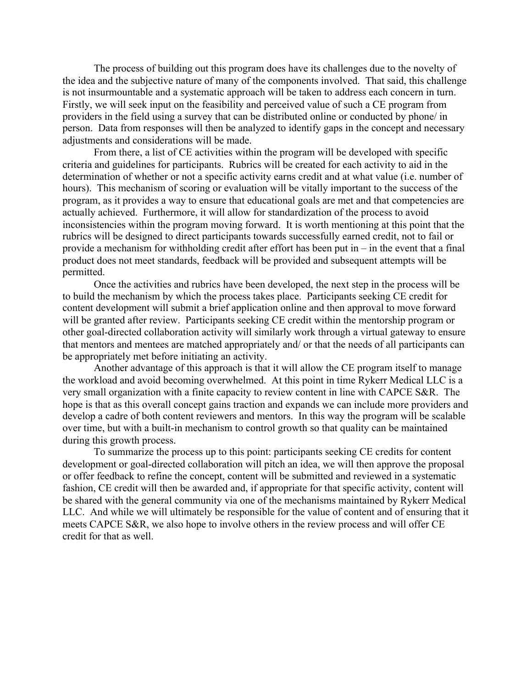The process of building out this program does have its challenges due to the novelty of the idea and the subjective nature of many of the components involved. That said, this challenge is not insurmountable and a systematic approach will be taken to address each concern in turn. Firstly, we will seek input on the feasibility and perceived value of such a CE program from providers in the field using a survey that can be distributed online or conducted by phone/ in person. Data from responses will then be analyzed to identify gaps in the concept and necessary adjustments and considerations will be made.

From there, a list of CE activities within the program will be developed with specific criteria and guidelines for participants. Rubrics will be created for each activity to aid in the determination of whether or not a specific activity earns credit and at what value (i.e. number of hours). This mechanism of scoring or evaluation will be vitally important to the success of the program, as it provides a way to ensure that educational goals are met and that competencies are actually achieved. Furthermore, it will allow for standardization of the process to avoid inconsistencies within the program moving forward. It is worth mentioning at this point that the rubrics will be designed to direct participants towards successfully earned credit, not to fail or provide a mechanism for withholding credit after effort has been put in – in the event that a final product does not meet standards, feedback will be provided and subsequent attempts will be permitted.

Once the activities and rubrics have been developed, the next step in the process will be to build the mechanism by which the process takes place. Participants seeking CE credit for content development will submit a brief application online and then approval to move forward will be granted after review. Participants seeking CE credit within the mentorship program or other goal-directed collaboration activity will similarly work through a virtual gateway to ensure that mentors and mentees are matched appropriately and/ or that the needs of all participants can be appropriately met before initiating an activity.

Another advantage of this approach is that it will allow the CE program itself to manage the workload and avoid becoming overwhelmed. At this point in time Rykerr Medical LLC is a very small organization with a finite capacity to review content in line with CAPCE S&R. The hope is that as this overall concept gains traction and expands we can include more providers and develop a cadre of both content reviewers and mentors. In this way the program will be scalable over time, but with a built-in mechanism to control growth so that quality can be maintained during this growth process.

To summarize the process up to this point: participants seeking CE credits for content development or goal-directed collaboration will pitch an idea, we will then approve the proposal or offer feedback to refine the concept, content will be submitted and reviewed in a systematic fashion, CE credit will then be awarded and, if appropriate for that specific activity, content will be shared with the general community via one of the mechanisms maintained by Rykerr Medical LLC. And while we will ultimately be responsible for the value of content and of ensuring that it meets CAPCE S&R, we also hope to involve others in the review process and will offer CE credit for that as well.